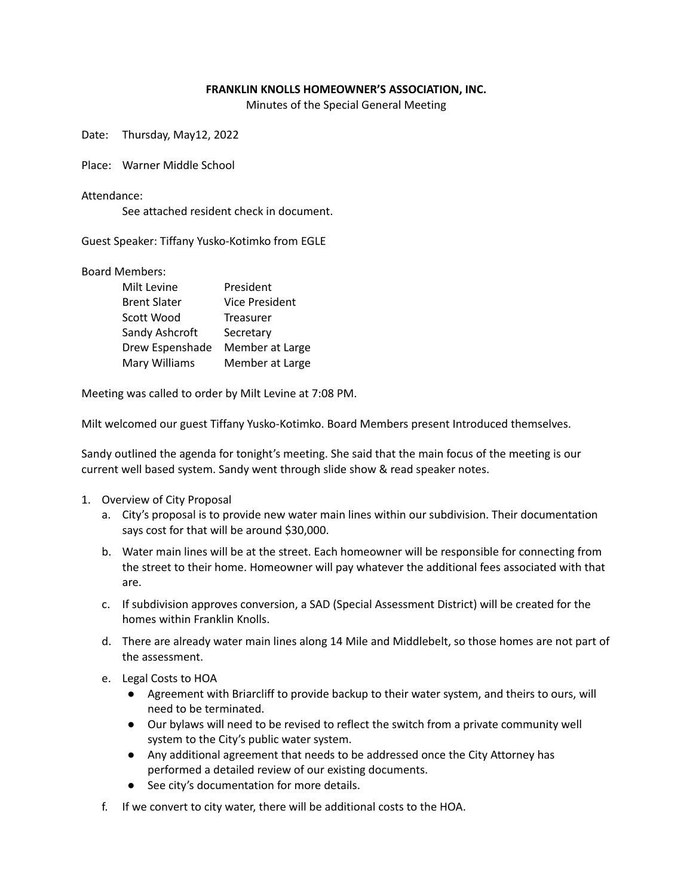## **FRANKLIN KNOLLS HOMEOWNER'S ASSOCIATION, INC.**

Minutes of the Special General Meeting

Date: Thursday, May12, 2022

Place: Warner Middle School

Attendance:

See attached resident check in document.

Guest Speaker: Tiffany Yusko-Kotimko from EGLE

Board Members:

| Milt Levine         | President             |
|---------------------|-----------------------|
| <b>Brent Slater</b> | <b>Vice President</b> |
| Scott Wood          | <b>Treasurer</b>      |
| Sandy Ashcroft      | Secretary             |
| Drew Espenshade     | Member at Large       |
| Mary Williams       | Member at Large       |

Meeting was called to order by Milt Levine at 7:08 PM.

Milt welcomed our guest Tiffany Yusko-Kotimko. Board Members present Introduced themselves.

Sandy outlined the agenda for tonight's meeting. She said that the main focus of the meeting is our current well based system. Sandy went through slide show & read speaker notes.

- 1. Overview of City Proposal
	- a. City's proposal is to provide new water main lines within our subdivision. Their documentation says cost for that will be around \$30,000.
	- b. Water main lines will be at the street. Each homeowner will be responsible for connecting from the street to their home. Homeowner will pay whatever the additional fees associated with that are.
	- c. If subdivision approves conversion, a SAD (Special Assessment District) will be created for the homes within Franklin Knolls.
	- d. There are already water main lines along 14 Mile and Middlebelt, so those homes are not part of the assessment.
	- e. Legal Costs to HOA
		- Agreement with Briarcliff to provide backup to their water system, and theirs to ours, will need to be terminated.
		- Our bylaws will need to be revised to reflect the switch from a private community well system to the City's public water system.
		- Any additional agreement that needs to be addressed once the City Attorney has performed a detailed review of our existing documents.
		- See city's documentation for more details.
	- f. If we convert to city water, there will be additional costs to the HOA.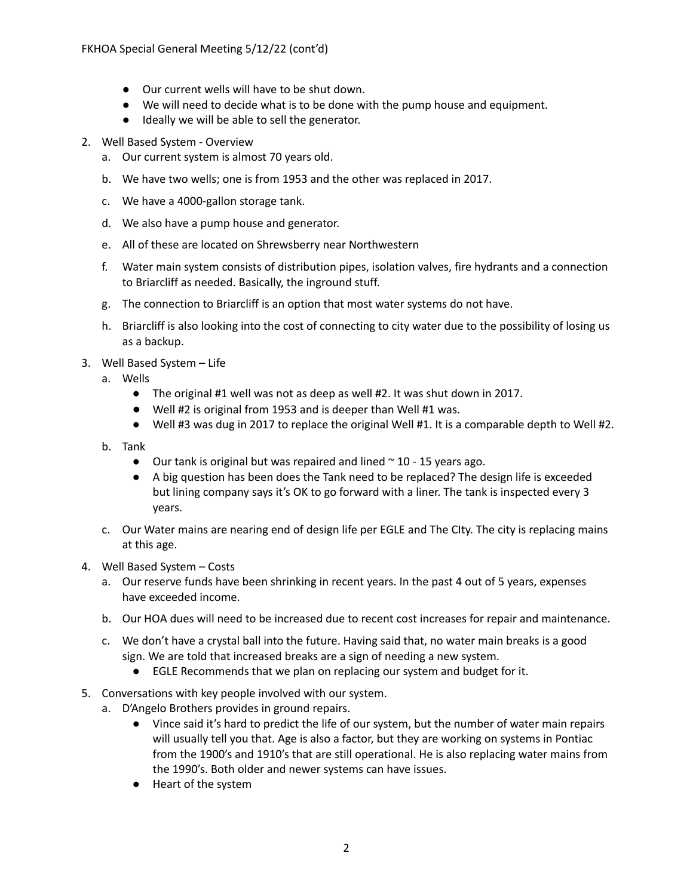- Our current wells will have to be shut down.
- We will need to decide what is to be done with the pump house and equipment.
- Ideally we will be able to sell the generator.
- 2. Well Based System Overview
	- a. Our current system is almost 70 years old.
	- b. We have two wells; one is from 1953 and the other was replaced in 2017.
	- c. We have a 4000-gallon storage tank.
	- d. We also have a pump house and generator.
	- e. All of these are located on Shrewsberry near Northwestern
	- f. Water main system consists of distribution pipes, isolation valves, fire hydrants and a connection to Briarcliff as needed. Basically, the inground stuff.
	- g. The connection to Briarcliff is an option that most water systems do not have.
	- h. Briarcliff is also looking into the cost of connecting to city water due to the possibility of losing us as a backup.
- 3. Well Based System Life
	- a. Wells
		- The original #1 well was not as deep as well #2. It was shut down in 2017.
		- Well #2 is original from 1953 and is deeper than Well #1 was.
		- Well #3 was dug in 2017 to replace the original Well #1. It is a comparable depth to Well #2.
	- b. Tank
		- $\bullet$  Our tank is original but was repaired and lined  $\sim$  10 15 years ago.
		- A big question has been does the Tank need to be replaced? The design life is exceeded but lining company says it's OK to go forward with a liner. The tank is inspected every 3 years.
	- c. Our Water mains are nearing end of design life per EGLE and The CIty. The city is replacing mains at this age.
- 4. Well Based System Costs
	- a. Our reserve funds have been shrinking in recent years. In the past 4 out of 5 years, expenses have exceeded income.
	- b. Our HOA dues will need to be increased due to recent cost increases for repair and maintenance.
	- c. We don't have a crystal ball into the future. Having said that, no water main breaks is a good sign. We are told that increased breaks are a sign of needing a new system.
		- EGLE Recommends that we plan on replacing our system and budget for it.
- 5. Conversations with key people involved with our system.
	- a. D'Angelo Brothers provides in ground repairs.
		- Vince said it's hard to predict the life of our system, but the number of water main repairs will usually tell you that. Age is also a factor, but they are working on systems in Pontiac from the 1900's and 1910's that are still operational. He is also replacing water mains from the 1990's. Both older and newer systems can have issues.
		- Heart of the system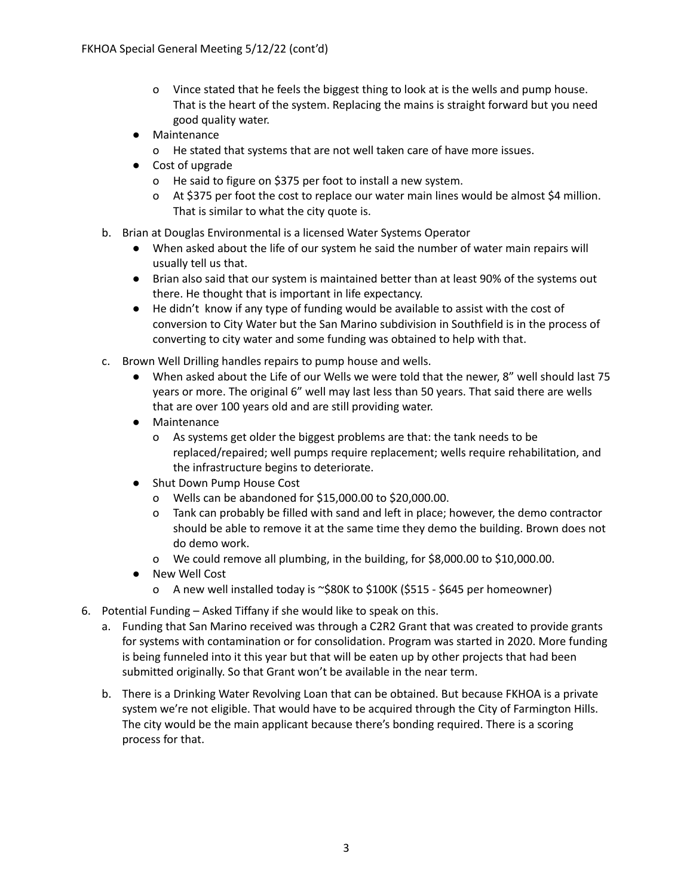- o Vince stated that he feels the biggest thing to look at is the wells and pump house. That is the heart of the system. Replacing the mains is straight forward but you need good quality water.
- Maintenance
	- o He stated that systems that are not well taken care of have more issues.
- Cost of upgrade
	- o He said to figure on \$375 per foot to install a new system.
	- o At \$375 per foot the cost to replace our water main lines would be almost \$4 million. That is similar to what the city quote is.
- b. Brian at Douglas Environmental is a licensed Water Systems Operator
	- When asked about the life of our system he said the number of water main repairs will usually tell us that.
	- Brian also said that our system is maintained better than at least 90% of the systems out there. He thought that is important in life expectancy.
	- He didn't know if any type of funding would be available to assist with the cost of conversion to City Water but the San Marino subdivision in Southfield is in the process of converting to city water and some funding was obtained to help with that.
- c. Brown Well Drilling handles repairs to pump house and wells.
	- When asked about the Life of our Wells we were told that the newer, 8" well should last 75 years or more. The original 6" well may last less than 50 years. That said there are wells that are over 100 years old and are still providing water.
	- Maintenance
		- o As systems get older the biggest problems are that: the tank needs to be replaced/repaired; well pumps require replacement; wells require rehabilitation, and the infrastructure begins to deteriorate.
	- Shut Down Pump House Cost
		- o Wells can be abandoned for \$15,000.00 to \$20,000.00.
		- o Tank can probably be filled with sand and left in place; however, the demo contractor should be able to remove it at the same time they demo the building. Brown does not do demo work.
		- o We could remove all plumbing, in the building, for \$8,000.00 to \$10,000.00.
	- New Well Cost
		- o A new well installed today is ~\$80K to \$100K (\$515 \$645 per homeowner)
- 6. Potential Funding Asked Tiffany if she would like to speak on this.
	- a. Funding that San Marino received was through a C2R2 Grant that was created to provide grants for systems with contamination or for consolidation. Program was started in 2020. More funding is being funneled into it this year but that will be eaten up by other projects that had been submitted originally. So that Grant won't be available in the near term.
	- b. There is a Drinking Water Revolving Loan that can be obtained. But because FKHOA is a private system we're not eligible. That would have to be acquired through the City of Farmington Hills. The city would be the main applicant because there's bonding required. There is a scoring process for that.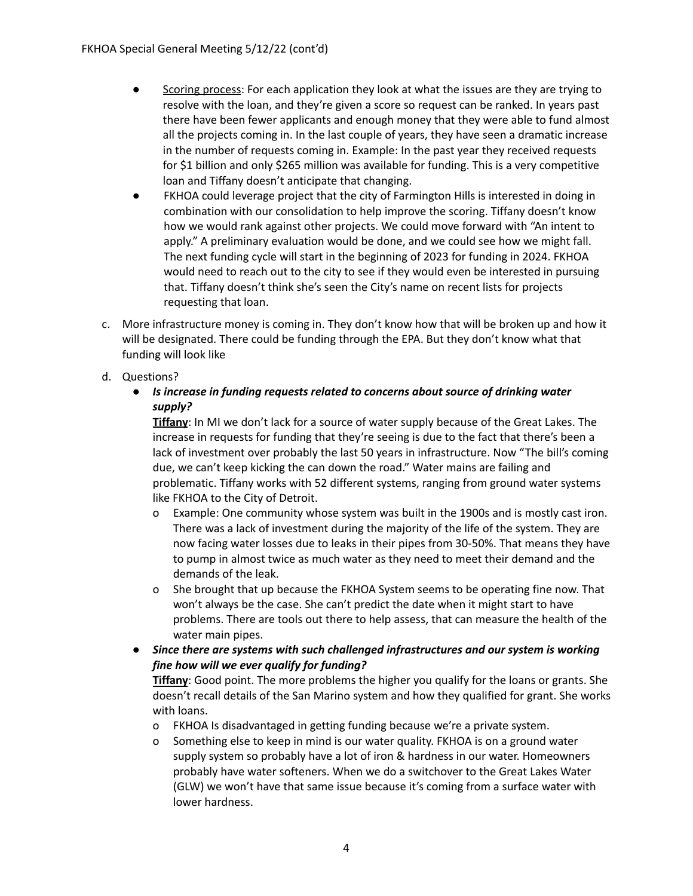- Scoring process: For each application they look at what the issues are they are trying to resolve with the loan, and they're given a score so request can be ranked. In years past there have been fewer applicants and enough money that they were able to fund almost all the projects coming in. In the last couple of years, they have seen a dramatic increase in the number of requests coming in. Example: In the past year they received requests for \$1 billion and only \$265 million was available for funding. This is a very competitive loan and Tiffany doesn't anticipate that changing.
- FKHOA could leverage project that the city of Farmington Hills is interested in doing in combination with our consolidation to help improve the scoring. Tiffany doesn't know how we would rank against other projects. We could move forward with "An intent to apply." A preliminary evaluation would be done, and we could see how we might fall. The next funding cycle will start in the beginning of 2023 for funding in 2024. FKHOA would need to reach out to the city to see if they would even be interested in pursuing that. Tiffany doesn't think she's seen the City's name on recent lists for projects requesting that loan.
- c. More infrastructure money is coming in. They don't know how that will be broken up and how it will be designated. There could be funding through the EPA. But they don't know what that funding will look like
- d. Questions?
	- *Is increase in funding requests related to concerns about source of drinking water supply?*

**Tiffany**: In MI we don't lack for a source of water supply because of the Great Lakes. The increase in requests for funding that they're seeing is due to the fact that there's been a lack of investment over probably the last 50 years in infrastructure. Now "The bill's coming due, we can't keep kicking the can down the road." Water mains are failing and problematic. Tiffany works with 52 different systems, ranging from ground water systems like FKHOA to the City of Detroit.

- o Example: One community whose system was built in the 1900s and is mostly cast iron. There was a lack of investment during the majority of the life of the system. They are now facing water losses due to leaks in their pipes from 30-50%. That means they have to pump in almost twice as much water as they need to meet their demand and the demands of the leak.
- o She brought that up because the FKHOA System seems to be operating fine now. That won't always be the case. She can't predict the date when it might start to have problems. There are tools out there to help assess, that can measure the health of the water main pipes.
- *Since there are systems with such challenged infrastructures and our system is working fine how will we ever qualify for funding?*

**Tiffany**: Good point. The more problems the higher you qualify for the loans or grants. She doesn't recall details of the San Marino system and how they qualified for grant. She works with loans.

- o FKHOA Is disadvantaged in getting funding because we're a private system.
- o Something else to keep in mind is our water quality. FKHOA is on a ground water supply system so probably have a lot of iron & hardness in our water. Homeowners probably have water softeners. When we do a switchover to the Great Lakes Water (GLW) we won't have that same issue because it's coming from a surface water with lower hardness.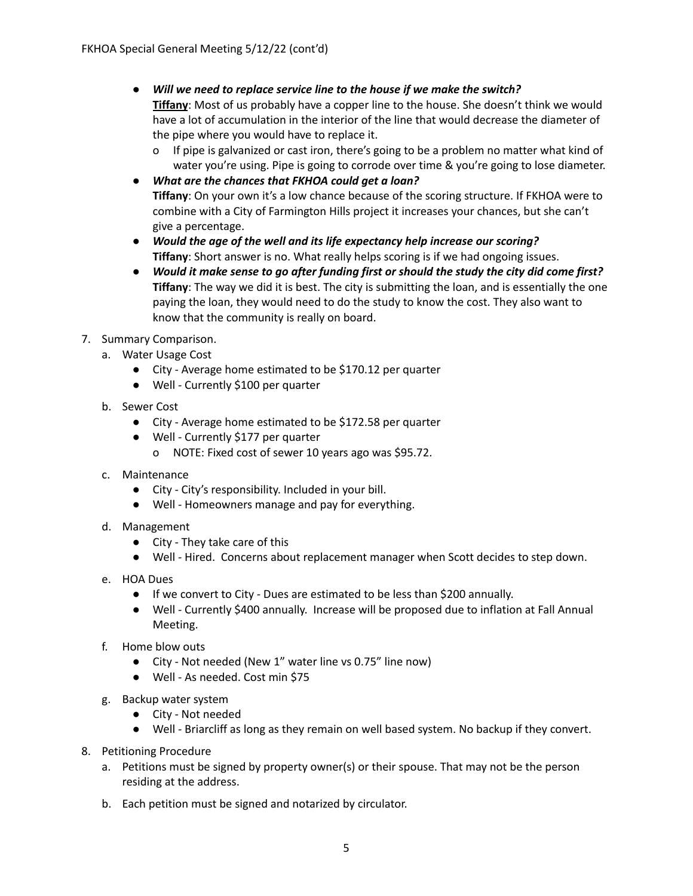● *Will we need to replace service line to the house if we make the switch?* **Tiffany**: Most of us probably have a copper line to the house. She doesn't think we would

have a lot of accumulation in the interior of the line that would decrease the diameter of the pipe where you would have to replace it.

- o If pipe is galvanized or cast iron, there's going to be a problem no matter what kind of water you're using. Pipe is going to corrode over time & you're going to lose diameter.
- *What are the chances that FKHOA could get a loan?* **Tiffany**: On your own it's a low chance because of the scoring structure. If FKHOA were to combine with a City of Farmington Hills project it increases your chances, but she can't give a percentage.
- *Would the age of the well and its life expectancy help increase our scoring?* **Tiffany**: Short answer is no. What really helps scoring is if we had ongoing issues.
- *Would it make sense to go after funding first or should the study the city did come first?* **Tiffany**: The way we did it is best. The city is submitting the loan, and is essentially the one paying the loan, they would need to do the study to know the cost. They also want to know that the community is really on board.
- 7. Summary Comparison.
	- a. Water Usage Cost
		- City Average home estimated to be \$170.12 per quarter
		- Well Currently \$100 per quarter
	- b. Sewer Cost
		- City Average home estimated to be \$172.58 per quarter
		- Well Currently \$177 per quarter
			- o NOTE: Fixed cost of sewer 10 years ago was \$95.72.
	- c. Maintenance
		- City City's responsibility. Included in your bill.
		- Well Homeowners manage and pay for everything.
	- d. Management
		- City They take care of this
		- Well Hired. Concerns about replacement manager when Scott decides to step down.
	- e. HOA Dues
		- If we convert to City Dues are estimated to be less than \$200 annually.
		- Well Currently \$400 annually. Increase will be proposed due to inflation at Fall Annual Meeting.
	- f. Home blow outs
		- City Not needed (New 1" water line vs 0.75" line now)
		- Well As needed. Cost min \$75
	- g. Backup water system
		- City Not needed
		- Well Briarcliff as long as they remain on well based system. No backup if they convert.
- 8. Petitioning Procedure
	- a. Petitions must be signed by property owner(s) or their spouse. That may not be the person residing at the address.
	- b. Each petition must be signed and notarized by circulator.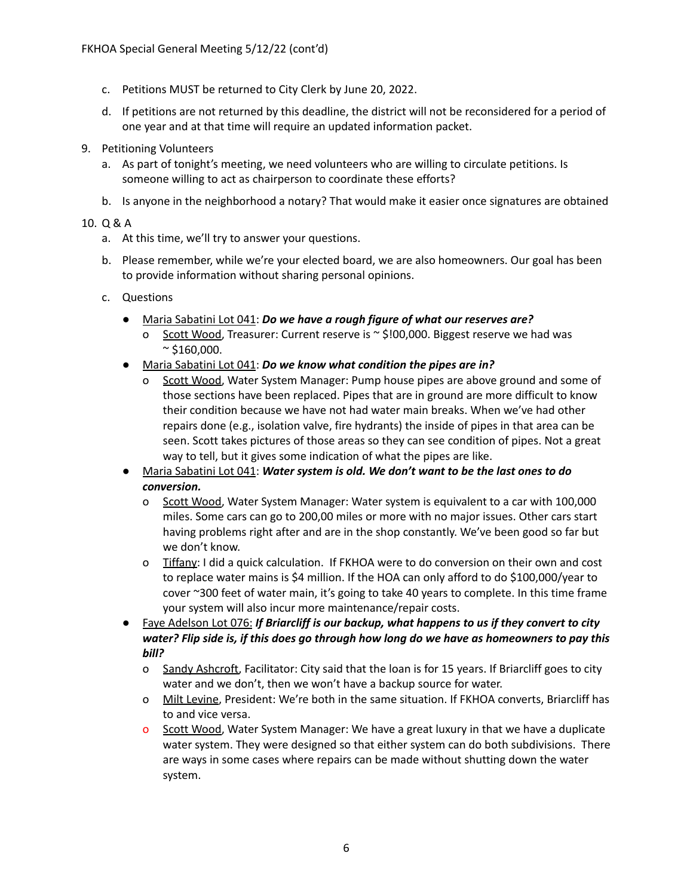- c. Petitions MUST be returned to City Clerk by June 20, 2022.
- d. If petitions are not returned by this deadline, the district will not be reconsidered for a period of one year and at that time will require an updated information packet.
- 9. Petitioning Volunteers
	- a. As part of tonight's meeting, we need volunteers who are willing to circulate petitions. Is someone willing to act as chairperson to coordinate these efforts?
	- b. Is anyone in the neighborhood a notary? That would make it easier once signatures are obtained

## 10. Q & A

- a. At this time, we'll try to answer your questions.
- b. Please remember, while we're your elected board, we are also homeowners. Our goal has been to provide information without sharing personal opinions.
- c. Questions
	- Maria Sabatini Lot 041: *Do we have a rough figure of what our reserves are?*
		- o Scott Wood, Treasurer: Current reserve is ~ \$!00,000. Biggest reserve we had was  $\sim$  \$160,000.
	- Maria Sabatini Lot 041: *Do we know what condition the pipes are in?*
		- o Scott Wood, Water System Manager: Pump house pipes are above ground and some of those sections have been replaced. Pipes that are in ground are more difficult to know their condition because we have not had water main breaks. When we've had other repairs done (e.g., isolation valve, fire hydrants) the inside of pipes in that area can be seen. Scott takes pictures of those areas so they can see condition of pipes. Not a great way to tell, but it gives some indication of what the pipes are like.
	- Maria Sabatini Lot 041: *Water system is old. We don't want to be the last ones to do conversion.*
		- o Scott Wood, Water System Manager: Water system is equivalent to a car with 100,000 miles. Some cars can go to 200,00 miles or more with no major issues. Other cars start having problems right after and are in the shop constantly. We've been good so far but we don't know.
		- o Tiffany: I did a quick calculation. If FKHOA were to do conversion on their own and cost to replace water mains is \$4 million. If the HOA can only afford to do \$100,000/year to cover ~300 feet of water main, it's going to take 40 years to complete. In this time frame your system will also incur more maintenance/repair costs.
	- Faye Adelson Lot 076: *If Briarcliff is our backup, what happens to us if they convert to city water? Flip side is, if this does go through how long do we have as homeowners to pay this bill?*
		- o Sandy Ashcroft, Facilitator: City said that the loan is for 15 years. If Briarcliff goes to city water and we don't, then we won't have a backup source for water.
		- o Milt Levine, President: We're both in the same situation. If FKHOA converts, Briarcliff has to and vice versa.
		- o Scott Wood, Water System Manager: We have a great luxury in that we have a duplicate water system. They were designed so that either system can do both subdivisions. There are ways in some cases where repairs can be made without shutting down the water system.